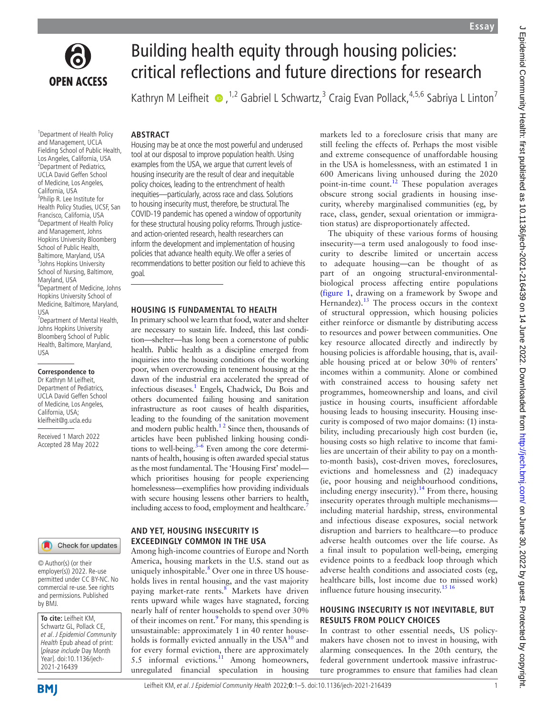

# Building health equity through housing policies: critical reflections and future directions for research

KathrynM Leifheit  $\bullet$ , <sup>1,2</sup> Gabriel L Schwartz,<sup>3</sup> Craig Evan Pollack, <sup>4,5,6</sup> Sabriya L Linton<sup>7</sup>

### **ABSTRACT**

1 Department of Health Policy and Management, UCLA Fielding School of Public Health, Los Angeles, California, USA 2 Department of Pediatrics, UCLA David Geffen School of Medicine, Los Angeles, California, USA <sup>3</sup>Philip R. Lee Institute for Health Policy Studies, UCSF, San Francisco, California, USA 4 Department of Health Policy and Management, Johns Hopkins University Bloomberg School of Public Health, Baltimore, Maryland, USA 5 Johns Hopkins University School of Nursing, Baltimore, Maryland, USA 6 Department of Medicine, Johns Hopkins University School of Medicine, Baltimore, Maryland, USA 7 Department of Mental Health, Johns Hopkins University Bloomberg School of Public Health, Baltimore, Maryland, USA

## **Correspondence to**

Dr Kathryn M Leifheit, Department of Pediatrics, UCLA David Geffen School of Medicine, Los Angeles, California, USA; kleifheit@g.ucla.edu

Received 1 March 2022 Accepted 28 May 2022

# Check for updates

© Author(s) (or their employer(s)) 2022. Re-use permitted under CC BY-NC. No commercial re-use. See rights and permissions. Published by BMJ.

**To cite:** Leifheit KM, Schwartz GL, Pollack CE, et al. J Epidemiol Community Health Epub ahead of print: [please include Day Month Year]. doi:10.1136/jech-2021-216439

Housing may be at once the most powerful and underused tool at our disposal to improve population health. Using examples from the USA, we argue that current levels of housing insecurity are the result of clear and inequitable policy choices, leading to the entrenchment of health inequities—particularly, across race and class. Solutions to housing insecurity must, therefore, be structural. The COVID-19 pandemic has opened a window of opportunity for these structural housing policy reforms. Through justiceand action-oriented research, health researchers can inform the development and implementation of housing policies that advance health equity. We offer a series of recommendations to better position our field to achieve this goal.

### **HOUSING IS FUNDAMENTAL TO HEALTH**

In primary school we learn that food, water and shelter are necessary to sustain life. Indeed, this last condition—shelter—has long been a cornerstone of public health. Public health as a discipline emerged from inquiries into the housing conditions of the working poor, when overcrowding in tenement housing at the dawn of the industrial era accelerated the spread of infectious diseases.<sup>1</sup> Engels, Chadwick, Du Bois and others documented failing housing and sanitation infrastructure as root causes of health disparities, leading to the founding of the sanitation movement and modern public health. $12$  Since then, thousands of articles have been published linking housing conditions to well-being. $3-6$  Even among the core determinants of health, housing is often awarded special status as the most fundamental. The 'Housing First' model which prioritises housing for people experiencing homelessness—exemplifies how providing individuals with secure housing lessens other barriers to health, including access to food, employment and healthcare.<sup>7</sup>

## **AND YET, HOUSING INSECURITY IS EXCEEDINGLY COMMON IN THE USA**

Among high-income countries of Europe and North America, housing markets in the U.S. stand out as uniquely inhospitable.<sup>8</sup> Over one in three US households lives in rental housing, and the vast majority paying market-rate rents.<sup>[8](#page-4-3)</sup> Markets have driven rents upward while wages have stagnated, forcing nearly half of renter households to spend over 30% of their incomes on rent.<sup>[9](#page-4-4)</sup> For many, this spending is unsustainable: approximately 1 in 40 renter households is formally evicted annually in the  $USA^{10}$  $USA^{10}$  $USA^{10}$  and for every formal eviction, there are approximately 5.5 informal evictions.<sup>11</sup> Among homeowners, unregulated financial speculation in housing

markets led to a foreclosure crisis that many are still feeling the effects of. Perhaps the most visible and extreme consequence of unaffordable housing in the USA is homelessness, with an estimated 1 in 600 Americans living unhoused during the 2020 point-in-time count.<sup>[12](#page-4-7)</sup> These population averages obscure strong social gradients in housing insecurity, whereby marginalised communities (eg, by race, class, gender, sexual orientation or immigration status) are disproportionately affected.

The ubiquity of these various forms of housing insecurity—a term used analogously to food insecurity to describe limited or uncertain access to adequate housing—can be thought of as part of an ongoing structural-environmentalbiological process affecting entire populations ([figure](#page-1-0) 1, drawing on a framework by Swope and Hernandez). $^{13}$  $^{13}$  $^{13}$  The process occurs in the context of structural oppression, which housing policies either reinforce or dismantle by distributing access to resources and power between communities. One key resource allocated directly and indirectly by housing policies is affordable housing, that is, available housing priced at or below 30% of renters' incomes within a community. Alone or combined with constrained access to housing safety net programmes, homeownership and loans, and civil justice in housing courts, insufficient affordable housing leads to housing insecurity. Housing insecurity is composed of two major domains: (1) instability, including precariously high cost burden (ie, housing costs so high relative to income that families are uncertain of their ability to pay on a monthto-month basis), cost-driven moves, foreclosures, evictions and homelessness and (2) inadequacy (ie, poor housing and neighbourhood conditions, including energy insecurity).<sup>[14](#page-4-9)</sup> From there, housing insecurity operates through multiple mechanisms including material hardship, stress, environmental and infectious disease exposures, social network disruption and barriers to healthcare—to produce adverse health outcomes over the life course. As a final insult to population well-being, emerging evidence points to a feedback loop through which adverse health conditions and associated costs (eg, healthcare bills, lost income due to missed work) influence future housing insecurity.<sup>[15 16](#page-4-10)</sup>

#### **HOUSING INSECURITY IS NOT INEVITABLE, BUT RESULTS FROM POLICY CHOICES**

In contrast to other essential needs, US policymakers have chosen not to invest in housing, with alarming consequences. In the 20th century, the federal government undertook massive infrastructure programmes to ensure that families had clean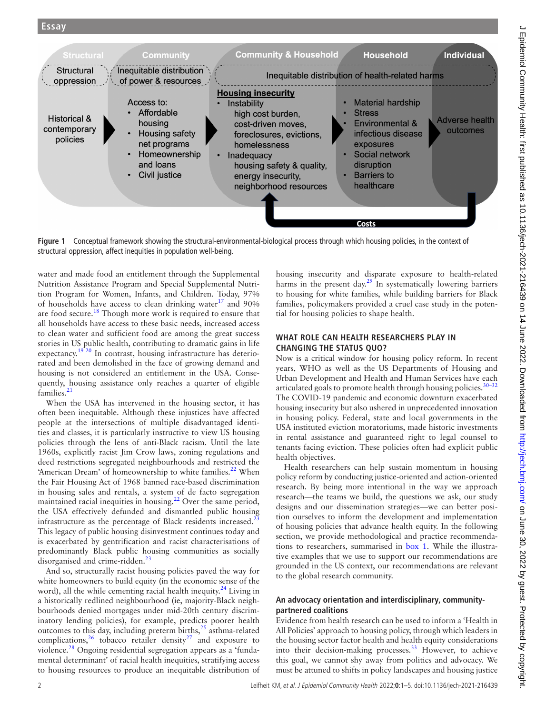

<span id="page-1-0"></span>**Figure 1** Conceptual framework showing the structural-environmental-biological process through which housing policies, in the context of structural oppression, affect inequities in population well-being.

water and made food an entitlement through the Supplemental Nutrition Assistance Program and Special Supplemental Nutrition Program for Women, Infants, and Children. Today, 97% of households have access to clean drinking water $17$  and 90% are food secure.[18](#page-4-12) Though more work is required to ensure that all households have access to these basic needs, increased access to clean water and sufficient food are among the great success stories in US public health, contributing to dramatic gains in life expectancy.<sup>19 20</sup> In contrast, housing infrastructure has deteriorated and been demolished in the face of growing demand and housing is not considered an entitlement in the USA. Consequently, housing assistance only reaches a quarter of eligible families.<sup>21</sup>

When the USA has intervened in the housing sector, it has often been inequitable. Although these injustices have affected people at the intersections of multiple disadvantaged identities and classes, it is particularly instructive to view US housing policies through the lens of anti-Black racism. Until the late 1960s, explicitly racist Jim Crow laws, zoning regulations and deed restrictions segregated neighbourhoods and restricted the 'American Dream' of homeownership to white families. $^{22}$  When the Fair Housing Act of 1968 banned race-based discrimination in housing sales and rentals, a system of de facto segregation maintained racial inequities in housing.<sup>22</sup> Over the same period, the USA effectively defunded and dismantled public housing infrastructure as the percentage of Black residents increased. $<sup>2</sup>$ </sup> This legacy of public housing disinvestment continues today and is exacerbated by gentrification and racist characterisations of predominantly Black public housing communities as socially disorganised and crime-ridden.<sup>[23](#page-4-16)</sup>

And so, structurally racist housing policies paved the way for white homeowners to build equity (in the economic sense of the word), all the while cementing racial health inequity. $^{24}$  Living in a historically redlined neighbourhood (ie, majority-Black neighbourhoods denied mortgages under mid-20th century discriminatory lending policies), for example, predicts poorer health outcomes to this day, including preterm births, $^{25}$  $^{25}$  $^{25}$  asthma-related complications,  $26$  tobacco retailer density and exposure to violence.<sup>28</sup> Ongoing residential segregation appears as a 'fundamental determinant' of racial health inequities, stratifying access to housing resources to produce an inequitable distribution of housing insecurity and disparate exposure to health-related harms in the present day.<sup>[29](#page-4-22)</sup> In systematically lowering barriers to housing for white families, while building barriers for Black families, policymakers provided a cruel case study in the potential for housing policies to shape health.

## **WHAT ROLE CAN HEALTH RESEARCHERS PLAY IN CHANGING THE STATUS QUO?**

Now is a critical window for housing policy reform. In recent years, WHO as well as the US Departments of Housing and Urban Development and Health and Human Services have each articulated goals to promote health through housing policies.<sup>30-32</sup> The COVID-19 pandemic and economic downturn exacerbated housing insecurity but also ushered in unprecedented innovation in housing policy. Federal, state and local governments in the USA instituted eviction moratoriums, made historic investments in rental assistance and guaranteed right to legal counsel to tenants facing eviction. These policies often had explicit public health objectives.

Health researchers can help sustain momentum in housing policy reform by conducting justice-oriented and action-oriented research. By being more intentional in the way we approach research—the teams we build, the questions we ask, our study designs and our dissemination strategies—we can better position ourselves to inform the development and implementation of housing policies that advance health equity. In the following section, we provide methodological and practice recommendations to researchers, summarised in [box](#page-2-0) 1. While the illustrative examples that we use to support our recommendations are grounded in the US context, our recommendations are relevant to the global research community.

## **An advocacy orientation and interdisciplinary, communitypartnered coalitions**

Evidence from health research can be used to inform a 'Health in All Policies' approach to housing policy, through which leaders in the housing sector factor health and health equity considerations into their decision-making processes. $33$  However, to achieve this goal, we cannot shy away from politics and advocacy. We must be attuned to shifts in policy landscapes and housing justice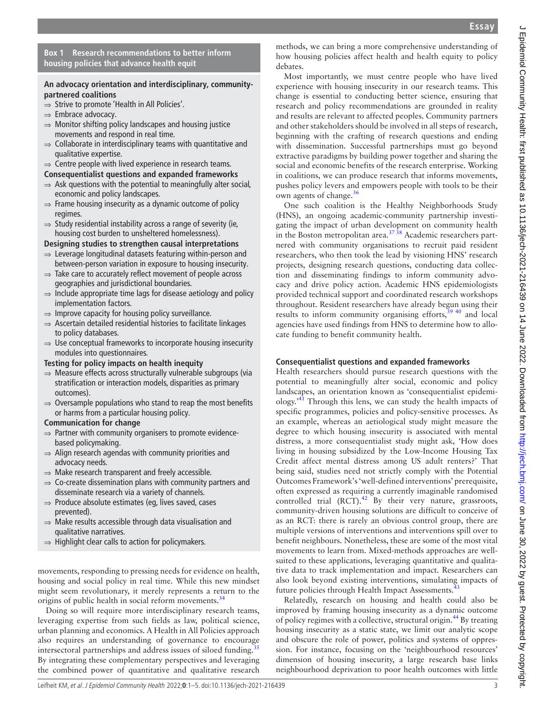### **Box 1 Research recommendations to better inform housing policies that advance health equit**

## <span id="page-2-0"></span>**An advocacy orientation and interdisciplinary, communitypartnered coalitions**

- ⇒ Strive to promote 'Health in All Policies'.
- ⇒ Embrace advocacy.
- $\Rightarrow$  Monitor shifting policy landscapes and housing justice movements and respond in real time.
- $\Rightarrow$  Collaborate in interdisciplinary teams with quantitative and qualitative expertise.
- $\Rightarrow$  Centre people with lived experience in research teams.
- **Consequentialist questions and expanded frameworks**
- $\Rightarrow$  Ask questions with the potential to meaningfully alter social, economic and policy landscapes.
- $\Rightarrow$  Frame housing insecurity as a dynamic outcome of policy regimes.
- $\Rightarrow$  Study residential instability across a range of severity (ie, housing cost burden to unsheltered homelessness).

**Designing studies to strengthen causal interpretations**

- ⇒ Leverage longitudinal datasets featuring within-person and between-person variation in exposure to housing insecurity.
- ⇒ Take care to accurately reflect movement of people across geographies and jurisdictional boundaries.
- ⇒ Include appropriate time lags for disease aetiology and policy implementation factors.
- $\Rightarrow$  Improve capacity for housing policy surveillance.
- ⇒ Ascertain detailed residential histories to facilitate linkages to policy databases.
- $\Rightarrow$  Use conceptual frameworks to incorporate housing insecurity modules into questionnaires.

## **Testing for policy impacts on health inequity**

- ⇒ Measure effects across structurally vulnerable subgroups (via stratification or interaction models, disparities as primary outcomes).
- $\Rightarrow$  Oversample populations who stand to reap the most benefits or harms from a particular housing policy.

#### **Communication for change**

- $\Rightarrow$  Partner with community organisers to promote evidencebased policymaking.
- $\Rightarrow$  Align research agendas with community priorities and advocacy needs.
- $\Rightarrow$  Make research transparent and freely accessible.
- $\Rightarrow$  Co-create dissemination plans with community partners and disseminate research via a variety of channels.
- ⇒ Produce absolute estimates (eg, lives saved, cases prevented).
- ⇒ Make results accessible through data visualisation and qualitative narratives.
- ⇒ Highlight clear calls to action for policymakers.

movements, responding to pressing needs for evidence on health, housing and social policy in real time. While this new mindset might seem revolutionary, it merely represents a return to the origins of public health in social reform movements.<sup>34</sup>

Doing so will require more interdisciplinary research teams, leveraging expertise from such fields as law, political science, urban planning and economics. A Health in All Policies approach also requires an understanding of governance to encourage intersectoral partnerships and address issues of siloed funding.<sup>3</sup> By integrating these complementary perspectives and leveraging the combined power of quantitative and qualitative research

methods, we can bring a more comprehensive understanding of how housing policies affect health and health equity to policy debates.

Most importantly, we must centre people who have lived experience with housing insecurity in our research teams. This change is essential to conducting better science, ensuring that research and policy recommendations are grounded in reality and results are relevant to affected peoples. Community partners and other stakeholders should be involved in all steps of research, beginning with the crafting of research questions and ending with dissemination. Successful partnerships must go beyond extractive paradigms by building power together and sharing the social and economic benefits of the research enterprise. Working in coalitions, we can produce research that informs movements, pushes policy levers and empowers people with tools to be their own agents of change. $36$ 

One such coalition is the Healthy Neighborhoods Study (HNS), an ongoing academic-community partnership investigating the impact of urban development on community health in the Boston metropolitan area.<sup>37</sup>  $\frac{3}{38}$  Academic researchers partnered with community organisations to recruit paid resident researchers, who then took the lead by visioning HNS' research projects, designing research questions, conducting data collection and disseminating findings to inform community advocacy and drive policy action. Academic HNS epidemiologists provided technical support and coordinated research workshops throughout. Resident researchers have already begun using their results to inform community organising efforts, $39\frac{40}{3}$  and local agencies have used findings from HNS to determine how to allocate funding to benefit community health.

## **Consequentialist questions and expanded frameworks**

Health researchers should pursue research questions with the potential to meaningfully alter social, economic and policy landscapes, an orientation known as 'consequentialist epidemiology.['41](#page-4-30) Through this lens, we can study the health impacts of specific programmes, policies and policy-sensitive processes. As an example, whereas an aetiological study might measure the degree to which housing insecurity is associated with mental distress, a more consequentialist study might ask, 'How does living in housing subsidized by the Low-Income Housing Tax Credit affect mental distress among US adult renters?' That being said, studies need not strictly comply with the Potential Outcomes Framework's 'well-defined interventions' prerequisite, often expressed as requiring a currently imaginable randomised controlled trial  $(RCT)$ .<sup>42</sup> By their very nature, grassroots, community-driven housing solutions are difficult to conceive of as an RCT: there is rarely an obvious control group, there are multiple versions of interventions and interventions spill over to benefit neighbours. Nonetheless, these are some of the most vital movements to learn from. Mixed-methods approaches are wellsuited to these applications, leveraging quantitative and qualitative data to track implementation and impact. Researchers can also look beyond existing interventions, simulating impacts of future policies through Health Impact Assessments.<sup>4</sup>

Relatedly, research on housing and health could also be improved by framing housing insecurity as a dynamic outcome of policy regimes with a collective, structural origin.<sup>44</sup> By treating housing insecurity as a static state, we limit our analytic scope and obscure the role of power, politics and systems of oppression. For instance, focusing on the 'neighbourhood resources' dimension of housing insecurity, a large research base links neighbourhood deprivation to poor health outcomes with little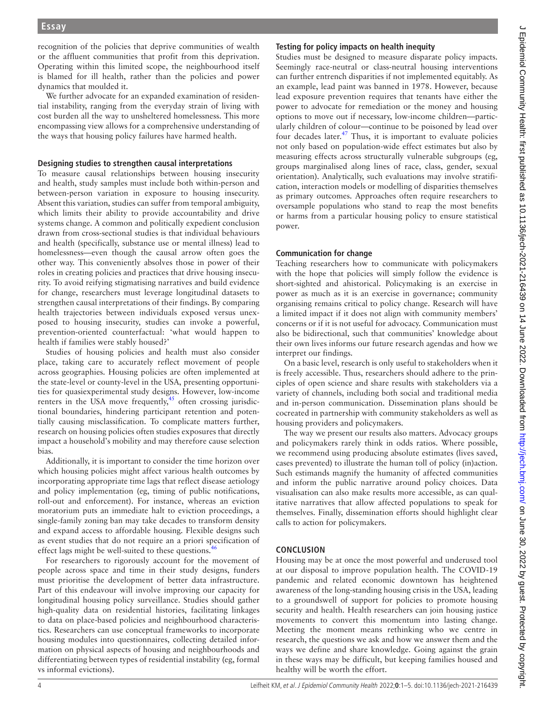recognition of the policies that deprive communities of wealth or the affluent communities that profit from this deprivation. Operating within this limited scope, the neighbourhood itself is blamed for ill health, rather than the policies and power dynamics that moulded it.

We further advocate for an expanded examination of residential instability, ranging from the everyday strain of living with cost burden all the way to unsheltered homelessness. This more encompassing view allows for a comprehensive understanding of the ways that housing policy failures have harmed health.

#### **Designing studies to strengthen causal interpretations**

To measure causal relationships between housing insecurity and health, study samples must include both within-person and between-person variation in exposure to housing insecurity. Absent this variation, studies can suffer from temporal ambiguity, which limits their ability to provide accountability and drive systems change. A common and politically expedient conclusion drawn from cross-sectional studies is that individual behaviours and health (specifically, substance use or mental illness) lead to homelessness—even though the causal arrow often goes the other way. This conveniently absolves those in power of their roles in creating policies and practices that drive housing insecurity. To avoid reifying stigmatising narratives and build evidence for change, researchers must leverage longitudinal datasets to strengthen causal interpretations of their findings. By comparing health trajectories between individuals exposed versus unexposed to housing insecurity, studies can invoke a powerful, prevention-oriented counterfactual: 'what would happen to health if families were stably housed?'

Studies of housing policies and health must also consider place, taking care to accurately reflect movement of people across geographies. Housing policies are often implemented at the state-level or county-level in the USA, presenting opportunities for quasiexperimental study designs. However, low-income renters in the USA move frequently, $45$  often crossing jurisdictional boundaries, hindering participant retention and potentially causing misclassification. To complicate matters further, research on housing policies often studies exposures that directly impact a household's mobility and may therefore cause selection bias.

Additionally, it is important to consider the time horizon over which housing policies might affect various health outcomes by incorporating appropriate time lags that reflect disease aetiology and policy implementation (eg, timing of public notifications, roll-out and enforcement). For instance, whereas an eviction moratorium puts an immediate halt to eviction proceedings, a single-family zoning ban may take decades to transform density and expand access to affordable housing. Flexible designs such as event studies that do not require an a priori specification of effect lags might be well-suited to these questions.<sup>4</sup>

For researchers to rigorously account for the movement of people across space and time in their study designs, funders must prioritise the development of better data infrastructure. Part of this endeavour will involve improving our capacity for longitudinal housing policy surveillance. Studies should gather high-quality data on residential histories, facilitating linkages to data on place-based policies and neighbourhood characteristics. Researchers can use conceptual frameworks to incorporate housing modules into questionnaires, collecting detailed information on physical aspects of housing and neighbourhoods and differentiating between types of residential instability (eg, formal vs informal evictions).

# **Testing for policy impacts on health inequity**

Studies must be designed to measure disparate policy impacts. Seemingly race-neutral or class-neutral housing interventions can further entrench disparities if not implemented equitably. As an example, lead paint was banned in 1978. However, because lead exposure prevention requires that tenants have either the power to advocate for remediation or the money and housing options to move out if necessary, low-income children—particularly children of colour—continue to be poisoned by lead over four decades later.<sup>47</sup> Thus, it is important to evaluate policies not only based on population-wide effect estimates but also by measuring effects across structurally vulnerable subgroups (eg, groups marginalised along lines of race, class, gender, sexual orientation). Analytically, such evaluations may involve stratification, interaction models or modelling of disparities themselves as primary outcomes. Approaches often require researchers to oversample populations who stand to reap the most benefits or harms from a particular housing policy to ensure statistical power.

# **Communication for change**

Teaching researchers how to communicate with policymakers with the hope that policies will simply follow the evidence is short-sighted and ahistorical. Policymaking is an exercise in power as much as it is an exercise in governance; community organising remains critical to policy change. Research will have a limited impact if it does not align with community members' concerns or if it is not useful for advocacy. Communication must also be bidirectional, such that communities' knowledge about their own lives informs our future research agendas and how we interpret our findings.

On a basic level, research is only useful to stakeholders when it is freely accessible. Thus, researchers should adhere to the principles of open science and share results with stakeholders via a variety of channels, including both social and traditional media and in-person communication. Dissemination plans should be cocreated in partnership with community stakeholders as well as housing providers and policymakers.

The way we present our results also matters. Advocacy groups and policymakers rarely think in odds ratios. Where possible, we recommend using producing absolute estimates (lives saved, cases prevented) to illustrate the human toll of policy (in)action. Such estimands magnify the humanity of affected communities and inform the public narrative around policy choices. Data visualisation can also make results more accessible, as can qualitative narratives that allow affected populations to speak for themselves. Finally, dissemination efforts should highlight clear calls to action for policymakers.

# **CONCLUSION**

Housing may be at once the most powerful and underused tool at our disposal to improve population health. The COVID-19 pandemic and related economic downtown has heightened awareness of the long-standing housing crisis in the USA, leading to a groundswell of support for policies to promote housing security and health. Health researchers can join housing justice movements to convert this momentum into lasting change. Meeting the moment means rethinking who we centre in research, the questions we ask and how we answer them and the ways we define and share knowledge. Going against the grain in these ways may be difficult, but keeping families housed and healthy will be worth the effort.